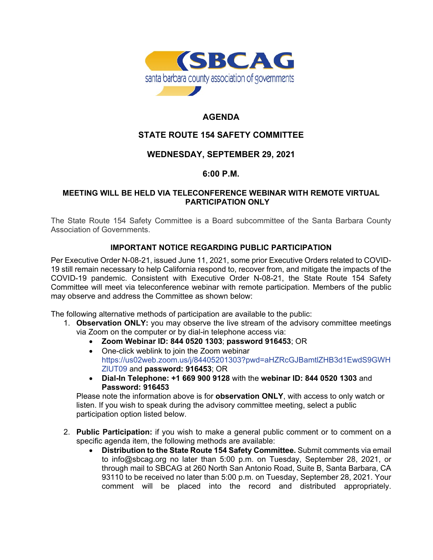

# **AGENDA**

## **STATE ROUTE 154 SAFETY COMMITTEE**

### **WEDNESDAY, SEPTEMBER 29, 2021**

### **6:00 P.M.**

#### **MEETING WILL BE HELD VIA TELECONFERENCE WEBINAR WITH REMOTE VIRTUAL PARTICIPATION ONLY**

The State Route 154 Safety Committee is a Board subcommittee of the Santa Barbara County Association of Governments.

#### **IMPORTANT NOTICE REGARDING PUBLIC PARTICIPATION**

Per Executive Order N-08-21, issued June 11, 2021, some prior Executive Orders related to COVID-19 still remain necessary to help California respond to, recover from, and mitigate the impacts of the COVID-19 pandemic. Consistent with Executive Order N-08-21, the State Route 154 Safety Committee will meet via teleconference webinar with remote participation. Members of the public may observe and address the Committee as shown below:

The following alternative methods of participation are available to the public:

- 1. **Observation ONLY:** you may observe the live stream of the advisory committee meetings via Zoom on the computer or by dial-in telephone access via:
	- **Zoom Webinar ID: 844 0520 1303**; **password 916453**; OR
	- One-click weblink to join the Zoom webinar [https://us02web.zoom.us/j/84405201303?pwd=aHZRcGJBamtlZHB3d1EwdS9GWH](https://us02web.zoom.us/j/84405201303?pwd=aHZRcGJBamtlZHB3d1EwdS9GWHZlUT09) [ZlUT09](https://us02web.zoom.us/j/84405201303?pwd=aHZRcGJBamtlZHB3d1EwdS9GWHZlUT09) and **password: 916453**; OR
	- **Dial-In Telephone: +1 669 900 9128** with the **webinar ID: 844 0520 1303** and **Password: 916453**

Please note the information above is for **observation ONLY**, with access to only watch or listen. If you wish to speak during the advisory committee meeting, select a public participation option listed below.

- 2. **Public Participation:** if you wish to make a general public comment or to comment on a specific agenda item, the following methods are available:
	- **Distribution to the State Route 154 Safety Committee.** Submit comments via email to info@sbcag.org no later than 5:00 p.m. on Tuesday, September 28, 2021, or through mail to SBCAG at 260 North San Antonio Road, Suite B, Santa Barbara, CA 93110 to be received no later than 5:00 p.m. on Tuesday, September 28, 2021. Your comment will be placed into the record and distributed appropriately.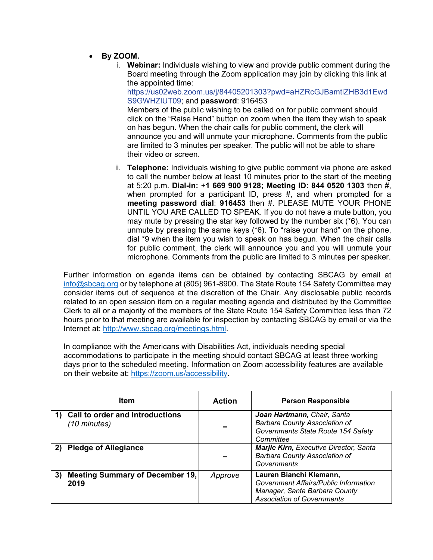- **By ZOOM.**
	- i. **Webinar:** Individuals wishing to view and provide public comment during the Board meeting through the Zoom application may join by clicking this link at the appointed time:

[https://us02web.zoom.us/j/84405201303?pwd=aHZRcGJBamtlZHB3d1Ewd](https://us02web.zoom.us/j/84405201303?pwd=aHZRcGJBamtlZHB3d1Ewd%09S9GWHZlUT09) [S9GWHZlUT09;](https://us02web.zoom.us/j/84405201303?pwd=aHZRcGJBamtlZHB3d1Ewd%09S9GWHZlUT09) and **password**: 916453

Members of the public wishing to be called on for public comment should click on the "Raise Hand" button on zoom when the item they wish to speak on has begun. When the chair calls for public comment, the clerk will announce you and will unmute your microphone. Comments from the public are limited to 3 minutes per speaker. The public will not be able to share their video or screen.

ii. **Telephone:** Individuals wishing to give public comment via phone are asked to call the number below at least 10 minutes prior to the start of the meeting at 5:20 p.m. **Dial-in:** +**1 669 900 9128; Meeting ID: 844 0520 1303** then #, when prompted for a participant ID, press #, and when prompted for a **meeting password dial**: **916453** then #. PLEASE MUTE YOUR PHONE UNTIL YOU ARE CALLED TO SPEAK. If you do not have a mute button, you may mute by pressing the star key followed by the number six (\*6). You can unmute by pressing the same keys  $(*6)$ . To "raise your hand" on the phone, dial \*9 when the item you wish to speak on has begun. When the chair calls for public comment, the clerk will announce you and you will unmute your microphone. Comments from the public are limited to 3 minutes per speaker.

Further information on agenda items can be obtained by contacting SBCAG by email at [info@sbcag.org](mailto:info@sbcag.org) or by telephone at (805) 961-8900. The State Route 154 Safety Committee may consider items out of sequence at the discretion of the Chair. Any disclosable public records related to an open session item on a regular meeting agenda and distributed by the Committee Clerk to all or a majority of the members of the State Route 154 Safety Committee less than 72 hours prior to that meeting are available for inspection by contacting SBCAG by email or via the Internet at: [http://www.sbcag.org/meetings.html.](http://www.sbcag.org/meetings.html)

In compliance with the Americans with Disabilities Act, individuals needing special accommodations to participate in the meeting should contact SBCAG at least three working days prior to the scheduled meeting. Information on Zoom accessibility features are available on their website at: [https://zoom.us/accessibility.](https://zoom.us/accessibility)

|    | Item                                                             | <b>Action</b> | <b>Person Responsible</b>                                                                                                              |
|----|------------------------------------------------------------------|---------------|----------------------------------------------------------------------------------------------------------------------------------------|
|    | <b>Call to order and Introductions</b><br>$(10 \text{ minutes})$ |               | Joan Hartmann, Chair, Santa<br><b>Barbara County Association of</b><br>Governments State Route 154 Safety<br>Committee                 |
|    | <b>Pledge of Allegiance</b>                                      |               | Marjie Kirn, Executive Director, Santa<br><b>Barbara County Association of</b><br>Governments                                          |
| 3) | <b>Meeting Summary of December 19,</b><br>2019                   | Approve       | Lauren Bianchi Klemann,<br>Government Affairs/Public Information<br>Manager, Santa Barbara County<br><b>Association of Governments</b> |